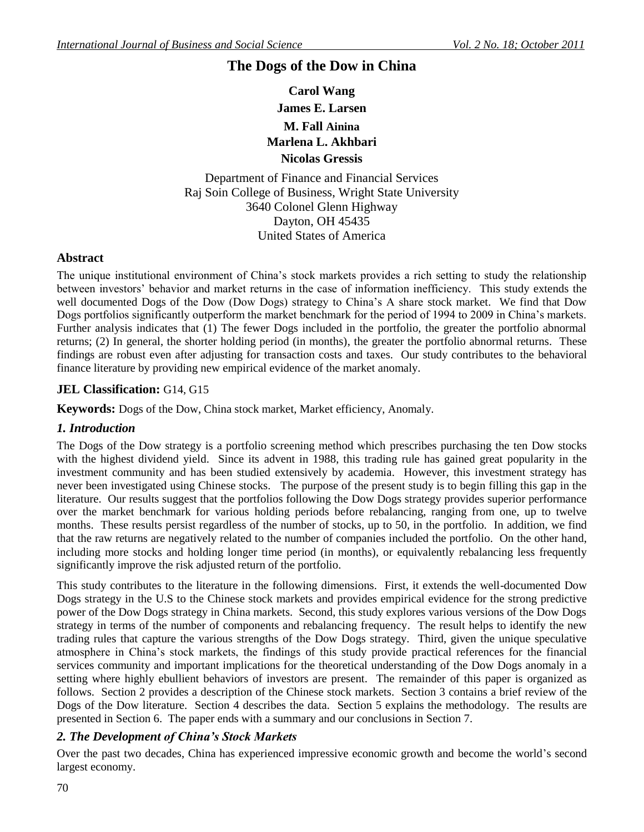# **The Dogs of the Dow in China**

**Carol Wang James E. Larsen M. Fall Ainina Marlena L. Akhbari Nicolas Gressis**

Department of Finance and Financial Services Raj Soin College of Business, Wright State University 3640 Colonel Glenn Highway Dayton, OH 45435 United States of America

## **Abstract**

The unique institutional environment of China"s stock markets provides a rich setting to study the relationship between investors" behavior and market returns in the case of information inefficiency. This study extends the well documented Dogs of the Dow (Dow Dogs) strategy to China's A share stock market. We find that Dow Dogs portfolios significantly outperform the market benchmark for the period of 1994 to 2009 in China's markets. Further analysis indicates that (1) The fewer Dogs included in the portfolio, the greater the portfolio abnormal returns; (2) In general, the shorter holding period (in months), the greater the portfolio abnormal returns. These findings are robust even after adjusting for transaction costs and taxes. Our study contributes to the behavioral finance literature by providing new empirical evidence of the market anomaly.

### **JEL Classification:** G14, G15

**Keywords:** Dogs of the Dow, China stock market, Market efficiency, Anomaly.

## *1. Introduction*

The Dogs of the Dow strategy is a portfolio screening method which prescribes purchasing the ten Dow stocks with the highest dividend yield. Since its advent in 1988, this trading rule has gained great popularity in the investment community and has been studied extensively by academia. However, this investment strategy has never been investigated using Chinese stocks. The purpose of the present study is to begin filling this gap in the literature. Our results suggest that the portfolios following the Dow Dogs strategy provides superior performance over the market benchmark for various holding periods before rebalancing, ranging from one, up to twelve months. These results persist regardless of the number of stocks, up to 50, in the portfolio. In addition, we find that the raw returns are negatively related to the number of companies included the portfolio. On the other hand, including more stocks and holding longer time period (in months), or equivalently rebalancing less frequently significantly improve the risk adjusted return of the portfolio.

This study contributes to the literature in the following dimensions. First, it extends the well-documented Dow Dogs strategy in the U.S to the Chinese stock markets and provides empirical evidence for the strong predictive power of the Dow Dogs strategy in China markets. Second, this study explores various versions of the Dow Dogs strategy in terms of the number of components and rebalancing frequency. The result helps to identify the new trading rules that capture the various strengths of the Dow Dogs strategy. Third, given the unique speculative atmosphere in China"s stock markets, the findings of this study provide practical references for the financial services community and important implications for the theoretical understanding of the Dow Dogs anomaly in a setting where highly ebullient behaviors of investors are present. The remainder of this paper is organized as follows. Section 2 provides a description of the Chinese stock markets. Section 3 contains a brief review of the Dogs of the Dow literature. Section 4 describes the data. Section 5 explains the methodology. The results are presented in Section 6. The paper ends with a summary and our conclusions in Section 7.

## *2. The Development of China's Stock Markets*

Over the past two decades, China has experienced impressive economic growth and become the world"s second largest economy.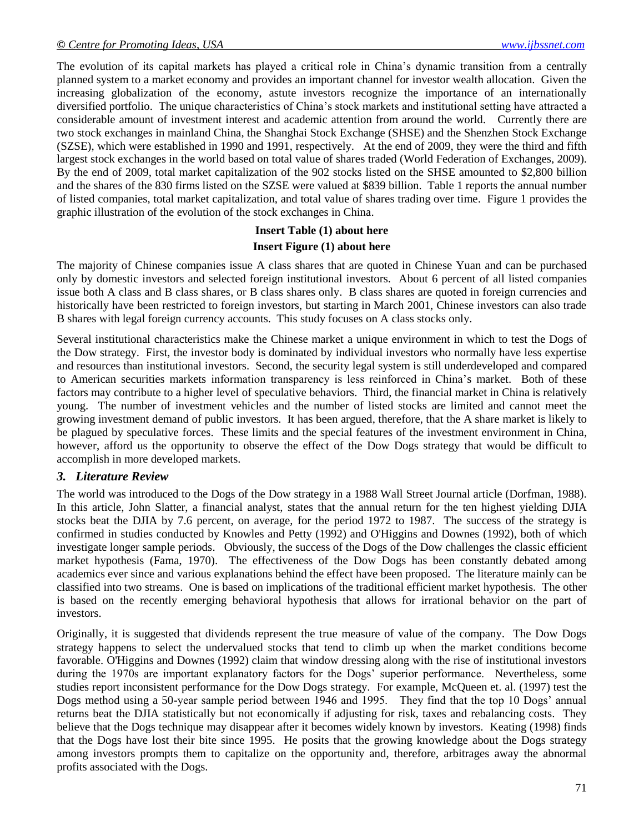The evolution of its capital markets has played a critical role in China"s dynamic transition from a centrally planned system to a market economy and provides an important channel for investor wealth allocation. Given the increasing globalization of the economy, astute investors recognize the importance of an internationally diversified portfolio. The unique characteristics of China"s stock markets and institutional setting have attracted a considerable amount of investment interest and academic attention from around the world. Currently there are two stock exchanges in mainland China, the Shanghai Stock Exchange (SHSE) and the Shenzhen Stock Exchange (SZSE), which were established in 1990 and 1991, respectively. At the end of 2009, they were the third and fifth largest stock exchanges in the world based on total value of shares traded (World Federation of Exchanges, 2009). By the end of 2009, total market capitalization of the 902 stocks listed on the SHSE amounted to \$2,800 billion and the shares of the 830 firms listed on the SZSE were valued at \$839 billion. Table 1 reports the annual number of listed companies, total market capitalization, and total value of shares trading over time. Figure 1 provides the graphic illustration of the evolution of the stock exchanges in China.

## **Insert Table (1) about here Insert Figure (1) about here**

The majority of Chinese companies issue A class shares that are quoted in Chinese Yuan and can be purchased only by domestic investors and selected foreign institutional investors. About 6 percent of all listed companies issue both A class and B class shares, or B class shares only. B class shares are quoted in foreign currencies and historically have been restricted to foreign investors, but starting in March 2001, Chinese investors can also trade B shares with legal foreign currency accounts. This study focuses on A class stocks only.

Several institutional characteristics make the Chinese market a unique environment in which to test the Dogs of the Dow strategy. First, the investor body is dominated by individual investors who normally have less expertise and resources than institutional investors. Second, the security legal system is still underdeveloped and compared to American securities markets information transparency is less reinforced in China"s market. Both of these factors may contribute to a higher level of speculative behaviors. Third, the financial market in China is relatively young. The number of investment vehicles and the number of listed stocks are limited and cannot meet the growing investment demand of public investors. It has been argued, therefore, that the A share market is likely to be plagued by speculative forces. These limits and the special features of the investment environment in China, however, afford us the opportunity to observe the effect of the Dow Dogs strategy that would be difficult to accomplish in more developed markets.

#### *3. Literature Review*

The world was introduced to the Dogs of the Dow strategy in a 1988 Wall Street Journal article (Dorfman, 1988). In this article, John Slatter, a financial analyst, states that the annual return for the ten highest yielding DJIA stocks beat the DJIA by 7.6 percent, on average, for the period 1972 to 1987. The success of the strategy is confirmed in studies conducted by Knowles and Petty (1992) and O'Higgins and Downes (1992), both of which investigate longer sample periods. Obviously, the success of the Dogs of the Dow challenges the classic efficient market hypothesis (Fama, 1970). The effectiveness of the Dow Dogs has been constantly debated among academics ever since and various explanations behind the effect have been proposed. The literature mainly can be classified into two streams. One is based on implications of the traditional efficient market hypothesis. The other is based on the recently emerging behavioral hypothesis that allows for irrational behavior on the part of investors.

Originally, it is suggested that dividends represent the true measure of value of the company. The Dow Dogs strategy happens to select the undervalued stocks that tend to climb up when the market conditions become favorable. O'Higgins and Downes (1992) claim that window dressing along with the rise of institutional investors during the 1970s are important explanatory factors for the Dogs" superior performance. Nevertheless, some studies report inconsistent performance for the Dow Dogs strategy. For example, McQueen et. al. (1997) test the Dogs method using a 50-year sample period between 1946 and 1995. They find that the top 10 Dogs" annual returns beat the DJIA statistically but not economically if adjusting for risk, taxes and rebalancing costs. They believe that the Dogs technique may disappear after it becomes widely known by investors. Keating (1998) finds that the Dogs have lost their bite since 1995. He posits that the growing knowledge about the Dogs strategy among investors prompts them to capitalize on the opportunity and, therefore, arbitrages away the abnormal profits associated with the Dogs.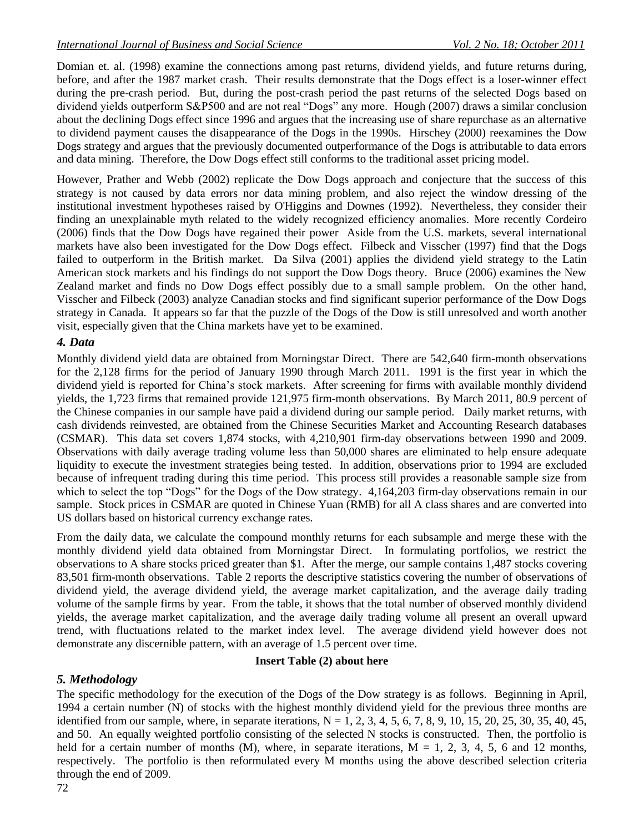Domian et. al. (1998) examine the connections among past returns, dividend yields, and future returns during, before, and after the 1987 market crash. Their results demonstrate that the Dogs effect is a loser-winner effect during the pre-crash period. But, during the post-crash period the past returns of the selected Dogs based on dividend yields outperform S&P500 and are not real "Dogs" any more. Hough (2007) draws a similar conclusion about the declining Dogs effect since 1996 and argues that the increasing use of share repurchase as an alternative to dividend payment causes the disappearance of the Dogs in the 1990s. Hirschey (2000) reexamines the Dow Dogs strategy and argues that the previously documented outperformance of the Dogs is attributable to data errors and data mining. Therefore, the Dow Dogs effect still conforms to the traditional asset pricing model.

However, Prather and Webb (2002) replicate the Dow Dogs approach and conjecture that the success of this strategy is not caused by data errors nor data mining problem, and also reject the window dressing of the institutional investment hypotheses raised by O'Higgins and Downes (1992). Nevertheless, they consider their finding an unexplainable myth related to the widely recognized efficiency anomalies. More recently Cordeiro (2006) finds that the Dow Dogs have regained their power Aside from the U.S. markets, several international markets have also been investigated for the Dow Dogs effect. Filbeck and Visscher (1997) find that the Dogs failed to outperform in the British market. Da Silva (2001) applies the dividend yield strategy to the Latin American stock markets and his findings do not support the Dow Dogs theory. Bruce (2006) examines the New Zealand market and finds no Dow Dogs effect possibly due to a small sample problem. On the other hand, Visscher and Filbeck (2003) analyze Canadian stocks and find significant superior performance of the Dow Dogs strategy in Canada. It appears so far that the puzzle of the Dogs of the Dow is still unresolved and worth another visit, especially given that the China markets have yet to be examined.

## *4. Data*

Monthly dividend yield data are obtained from Morningstar Direct. There are 542,640 firm-month observations for the 2,128 firms for the period of January 1990 through March 2011. 1991 is the first year in which the dividend yield is reported for China"s stock markets. After screening for firms with available monthly dividend yields, the 1,723 firms that remained provide 121,975 firm-month observations. By March 2011, 80.9 percent of the Chinese companies in our sample have paid a dividend during our sample period. Daily market returns, with cash dividends reinvested, are obtained from the Chinese Securities Market and Accounting Research databases (CSMAR). This data set covers 1,874 stocks, with 4,210,901 firm-day observations between 1990 and 2009. Observations with daily average trading volume less than 50,000 shares are eliminated to help ensure adequate liquidity to execute the investment strategies being tested. In addition, observations prior to 1994 are excluded because of infrequent trading during this time period. This process still provides a reasonable sample size from which to select the top "Dogs" for the Dogs of the Dow strategy. 4,164,203 firm-day observations remain in our sample. Stock prices in CSMAR are quoted in Chinese Yuan (RMB) for all A class shares and are converted into US dollars based on historical currency exchange rates.

From the daily data, we calculate the compound monthly returns for each subsample and merge these with the monthly dividend yield data obtained from Morningstar Direct. In formulating portfolios, we restrict the observations to A share stocks priced greater than \$1. After the merge, our sample contains 1,487 stocks covering 83,501 firm-month observations. Table 2 reports the descriptive statistics covering the number of observations of dividend yield, the average dividend yield, the average market capitalization, and the average daily trading volume of the sample firms by year. From the table, it shows that the total number of observed monthly dividend yields, the average market capitalization, and the average daily trading volume all present an overall upward trend, with fluctuations related to the market index level. The average dividend yield however does not demonstrate any discernible pattern, with an average of 1.5 percent over time.

## **Insert Table (2) about here**

## *5. Methodology*

The specific methodology for the execution of the Dogs of the Dow strategy is as follows. Beginning in April, 1994 a certain number (N) of stocks with the highest monthly dividend yield for the previous three months are identified from our sample, where, in separate iterations,  $N = 1, 2, 3, 4, 5, 6, 7, 8, 9, 10, 15, 20, 25, 30, 35, 40, 45,$ and 50. An equally weighted portfolio consisting of the selected N stocks is constructed. Then, the portfolio is held for a certain number of months  $(M)$ , where, in separate iterations,  $M = 1, 2, 3, 4, 5, 6$  and 12 months, respectively. The portfolio is then reformulated every M months using the above described selection criteria through the end of 2009.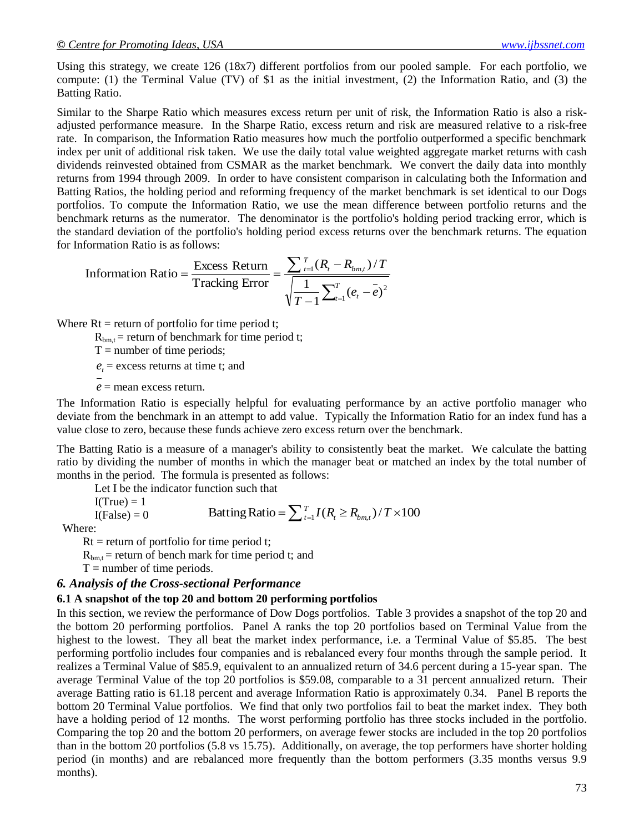Using this strategy, we create 126 (18x7) different portfolios from our pooled sample. For each portfolio, we compute: (1) the Terminal Value (TV) of \$1 as the initial investment, (2) the Information Ratio, and (3) the Batting Ratio.

Similar to the Sharpe Ratio which measures excess return per unit of risk, the Information Ratio is also a riskadjusted performance measure. In the Sharpe Ratio, excess return and risk are measured relative to a risk-free rate. In comparison, the Information Ratio measures how much the portfolio outperformed a specific benchmark index per unit of additional risk taken. We use the daily total value weighted aggregate market returns with cash dividends reinvested obtained from CSMAR as the market benchmark. We convert the daily data into monthly returns from 1994 through 2009. In order to have consistent comparison in calculating both the Information and Batting Ratios, the holding period and reforming frequency of the market benchmark is set identical to our Dogs portfolios. To compute the Information Ratio, we use the mean difference between portfolio returns and the benchmark returns as the numerator. The denominator is the portfolio's holding period tracking error, which is the standard deviation of the portfolio's holding period excess returns over the benchmark returns. The equation for Information Ratio is as follows:

Information Ratio is as follows.  
Information Ratio = 
$$
\frac{\text{Excess Return}}{\text{Tracking Error}} = \frac{\sum_{t=1}^{T} (R_t - R_{bm, t}) / T}{\sqrt{\frac{1}{T-1} \sum_{t=1}^{T} (e_t - \bar{e})^2}}
$$

Where  $Rt = return of portfolio for time period t;$ 

 $R_{bm, t}$  = return of benchmark for time period t;

 $T =$  number of time periods;

 $e_t$  = excess returns at time t; and

 $e$  = mean excess return.

The Information Ratio is especially helpful for evaluating performance by an active portfolio manager who deviate from the benchmark in an attempt to add value. Typically the Information Ratio for an index fund has a value close to zero, because these funds achieve zero excess return over the benchmark.

The Batting Ratio is a measure of a manager's ability to consistently beat the market. We calculate the batting ratio by dividing the number of months in which the manager beat or matched an index by the total number of months in the period. The formula is presented as follows:

Let I be the indicator function such that

I(True) = 1  
I(False) = 0 Batting Ratio = 
$$
\sum_{t=1}^{T} I(R_t \ge R_{bm,t}) / T \times 100
$$

Where:

 $Rt = return of portfolio for time period t;$ 

 $R_{bm}$  = return of bench mark for time period t; and

 $T =$  number of time periods.

#### *6. Analysis of the Cross-sectional Performance*

#### **6.1 A snapshot of the top 20 and bottom 20 performing portfolios**

In this section, we review the performance of Dow Dogs portfolios. Table 3 provides a snapshot of the top 20 and the bottom 20 performing portfolios. Panel A ranks the top 20 portfolios based on Terminal Value from the highest to the lowest. They all beat the market index performance, i.e. a Terminal Value of \$5.85. The best performing portfolio includes four companies and is rebalanced every four months through the sample period. It realizes a Terminal Value of \$85.9, equivalent to an annualized return of 34.6 percent during a 15-year span. The average Terminal Value of the top 20 portfolios is \$59.08, comparable to a 31 percent annualized return. Their average Batting ratio is 61.18 percent and average Information Ratio is approximately 0.34. Panel B reports the bottom 20 Terminal Value portfolios. We find that only two portfolios fail to beat the market index. They both have a holding period of 12 months. The worst performing portfolio has three stocks included in the portfolio. Comparing the top 20 and the bottom 20 performers, on average fewer stocks are included in the top 20 portfolios than in the bottom 20 portfolios (5.8 vs 15.75). Additionally, on average, the top performers have shorter holding period (in months) and are rebalanced more frequently than the bottom performers (3.35 months versus 9.9 Then  $\Gamma$ <br>
(False) = 0<br>
Where:<br>
Rt = return of portfolio for time period t;<br>
R<sub>bm,t</sub> = return of bench mark for time period t; and<br>
T = number of time periods.<br> **6. Analysis of the Cross-sectional Performance**<br> **6.1 A sna**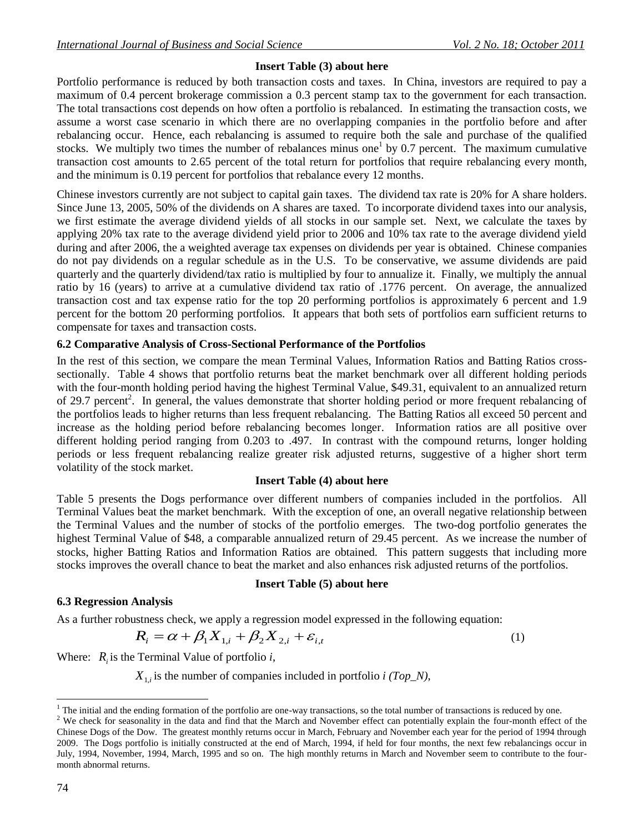## **Insert Table (3) about here**

Portfolio performance is reduced by both transaction costs and taxes. In China, investors are required to pay a maximum of 0.4 percent brokerage commission a 0.3 percent stamp tax to the government for each transaction. The total transactions cost depends on how often a portfolio is rebalanced. In estimating the transaction costs, we assume a worst case scenario in which there are no overlapping companies in the portfolio before and after rebalancing occur. Hence, each rebalancing is assumed to require both the sale and purchase of the qualified stocks. We multiply two times the number of rebalances minus one<sup>1</sup> by 0.7 percent. The maximum cumulative transaction cost amounts to 2.65 percent of the total return for portfolios that require rebalancing every month, and the minimum is 0.19 percent for portfolios that rebalance every 12 months.

Chinese investors currently are not subject to capital gain taxes. The dividend tax rate is 20% for A share holders. Since June 13, 2005, 50% of the dividends on A shares are taxed. To incorporate dividend taxes into our analysis, we first estimate the average dividend yields of all stocks in our sample set. Next, we calculate the taxes by applying 20% tax rate to the average dividend yield prior to 2006 and 10% tax rate to the average dividend yield during and after 2006, the a weighted average tax expenses on dividends per year is obtained. Chinese companies do not pay dividends on a regular schedule as in the U.S. To be conservative, we assume dividends are paid quarterly and the quarterly dividend/tax ratio is multiplied by four to annualize it. Finally, we multiply the annual ratio by 16 (years) to arrive at a cumulative dividend tax ratio of .1776 percent. On average, the annualized transaction cost and tax expense ratio for the top 20 performing portfolios is approximately 6 percent and 1.9 percent for the bottom 20 performing portfolios. It appears that both sets of portfolios earn sufficient returns to compensate for taxes and transaction costs.

#### **6.2 Comparative Analysis of Cross-Sectional Performance of the Portfolios**

In the rest of this section, we compare the mean Terminal Values, Information Ratios and Batting Ratios crosssectionally. Table 4 shows that portfolio returns beat the market benchmark over all different holding periods with the four-month holding period having the highest Terminal Value, \$49.31, equivalent to an annualized return of 29.7 percent<sup>2</sup>. In general, the values demonstrate that shorter holding period or more frequent rebalancing of the portfolios leads to higher returns than less frequent rebalancing. The Batting Ratios all exceed 50 percent and increase as the holding period before rebalancing becomes longer. Information ratios are all positive over different holding period ranging from 0.203 to .497. In contrast with the compound returns, longer holding periods or less frequent rebalancing realize greater risk adjusted returns, suggestive of a higher short term volatility of the stock market.

#### **Insert Table (4) about here**

Table 5 presents the Dogs performance over different numbers of companies included in the portfolios. All Terminal Values beat the market benchmark. With the exception of one, an overall negative relationship between the Terminal Values and the number of stocks of the portfolio emerges. The two-dog portfolio generates the highest Terminal Value of \$48, a comparable annualized return of 29.45 percent. As we increase the number of stocks, higher Batting Ratios and Information Ratios are obtained. This pattern suggests that including more stocks improves the overall chance to beat the market and also enhances risk adjusted returns of the portfolios.

#### **Insert Table (5) about here**

#### **6.3 Regression Analysis**

As a further robustness check, we apply a regression model expressed in the following equation:

$$
R_i = \alpha + \beta_1 X_{1,i} + \beta_2 X_{2,i} + \varepsilon_{i,t}
$$
 (1)

Where:  $R_i$  is the Terminal Value of portfolio *i*,

*X*1,*<sup>i</sup>* is the number of companies included in portfolio *i (Top\_N)*,

l

 $<sup>1</sup>$  The initial and the ending formation of the portfolio are one-way transactions, so the total number of transactions is reduced by one.</sup>

<sup>&</sup>lt;sup>2</sup> We check for seasonality in the data and find that the March and November effect can potentially explain the four-month effect of the Chinese Dogs of the Dow. The greatest monthly returns occur in March, February and November each year for the period of 1994 through 2009. The Dogs portfolio is initially constructed at the end of March, 1994, if held for four months, the next few rebalancings occur in July, 1994, November, 1994, March, 1995 and so on. The high monthly returns in March and November seem to contribute to the fourmonth abnormal returns.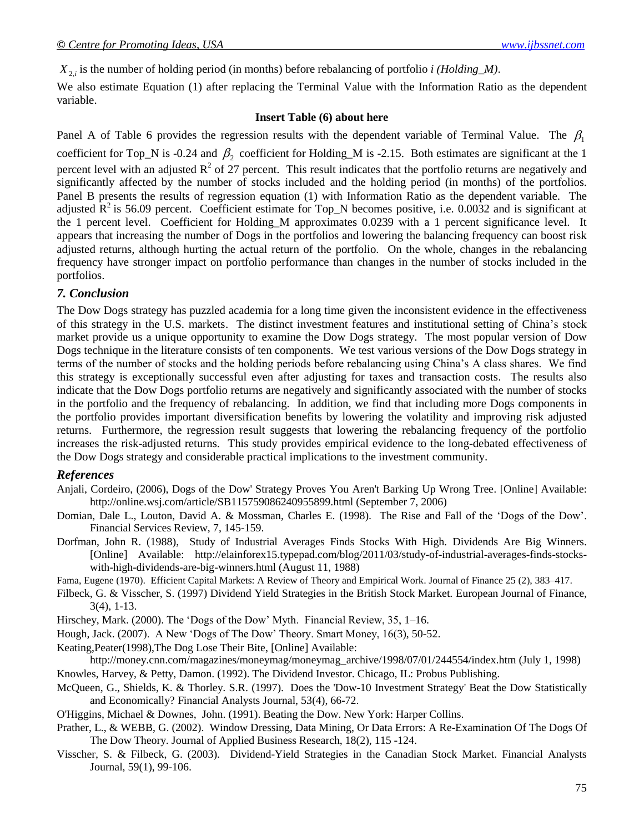$X_{2i}$  is the number of holding period (in months) before rebalancing of portfolio *i (Holding\_M)*.

We also estimate Equation (1) after replacing the Terminal Value with the Information Ratio as the dependent variable.

#### **Insert Table (6) about here**

Panel A of Table 6 provides the regression results with the dependent variable of Terminal Value. The  $\beta_1$ coefficient for Top\_N is -0.24 and  $\beta_2$  coefficient for Holding\_M is -2.15. Both estimates are significant at the 1 percent level with an adjusted  $R^2$  of 27 percent. This result indicates that the portfolio returns are negatively and significantly affected by the number of stocks included and the holding period (in months) of the portfolios. Panel B presents the results of regression equation (1) with Information Ratio as the dependent variable. The adjusted  $\mathbb{R}^2$  is 56.09 percent. Coefficient estimate for Top\_N becomes positive, i.e. 0.0032 and is significant at the 1 percent level. Coefficient for Holding\_M approximates 0.0239 with a 1 percent significance level. It appears that increasing the number of Dogs in the portfolios and lowering the balancing frequency can boost risk adjusted returns, although hurting the actual return of the portfolio. On the whole, changes in the rebalancing frequency have stronger impact on portfolio performance than changes in the number of stocks included in the portfolios.

## *7. Conclusion*

X<sub>3</sub>, is the menter of holding period (in months) to<br>between columnicating of portiodic mentiodic and the set of the set of the set of the<br>set of example, the set of the set of the set of the set of the set of the<br>set of t The Dow Dogs strategy has puzzled academia for a long time given the inconsistent evidence in the effectiveness of this strategy in the U.S. markets. The distinct investment features and institutional setting of China"s stock market provide us a unique opportunity to examine the Dow Dogs strategy. The most popular version of Dow Dogs technique in the literature consists of ten components. We test various versions of the Dow Dogs strategy in terms of the number of stocks and the holding periods before rebalancing using China"s A class shares. We find this strategy is exceptionally successful even after adjusting for taxes and transaction costs. The results also indicate that the Dow Dogs portfolio returns are negatively and significantly associated with the number of stocks in the portfolio and the frequency of rebalancing. In addition, we find that including more Dogs components in the portfolio provides important diversification benefits by lowering the volatility and improving risk adjusted returns. Furthermore, the regression result suggests that lowering the rebalancing frequency of the portfolio increases the risk-adjusted returns. This study provides empirical evidence to the long-debated effectiveness of the Dow Dogs strategy and considerable practical implications to the investment community.

## *References*

- Anjali, Cordeiro, (2006), Dogs of the Dow' Strategy Proves You Aren't Barking Up Wrong Tree. [Online] Available: <http://online.wsj.com/article/SB115759086240955899.html> (September 7, 2006)
- Domian, Dale L., Louton, David A. & Mossman, Charles E. (1998). The Rise and Fall of the 'Dogs of the Dow'. Financial Services Review, 7, 145-159.
- Dorfman, John R. (1988), Study of Industrial Averages Finds Stocks With High*.* Dividends Are Big Winners. [Online] Available: http://elainforex15.typepad.com/blog/2011/03/study-of-industrial-averages-finds-stockswith-high-dividends-are-big-winners.html (August 11, 1988)

Fama, Eugene (1970). [Efficient Capital Markets: A Review of Theory and Empirical Work.](http://jstor.org/stable/2325486) Journal of Finance 25 (2), 383–417.

Filbeck, G. & Visscher, S. (1997) Dividend Yield Strategies in the British Stock Market. European Journal of Finance, 3(4), 1-13.

Hirschey, Mark. (2000). The "Dogs of the Dow" Myth. Financial Review, 35, 1–16.

Hough, Jack. (2007). A New 'Dogs of The Dow' Theory. Smart Money, 16(3), 50-52.

Keating,Peater(1998),The Dog Lose Their Bite, [Online] Available:

http://money.cnn.com/magazines/moneymag/moneymag\_archive/1998/07/01/244554/index.htm (July 1, 1998) Knowles, Harvey, & Petty, Damon. (1992). The Dividend Investor. Chicago, IL: Probus Publishing.

McQueen, G., Shields, K. & Thorley. S.R. (1997). Does the 'Dow-10 Investment Strategy' Beat the Dow Statistically and Economically? Financial Analysts Journal, 53(4), 66-72.

O'Higgins, Michael & Downes, John. (1991). Beating the Dow. New York: Harper Collins.

- Prather, L., & WEBB, G. (2002). Window Dressing, Data Mining, Or Data Errors: A Re-Examination Of The Dogs Of The Dow Theory. Journal of Applied Business Research, [18\(2\), 1](http://journals.cluteonline.com/index.php/JABR/issue/view/232)15 -124.
- Visscher, S. & Filbeck, G. (2003). Dividend-Yield Strategies in the Canadian Stock Market. Financial Analysts Journal, 59(1), 99-106.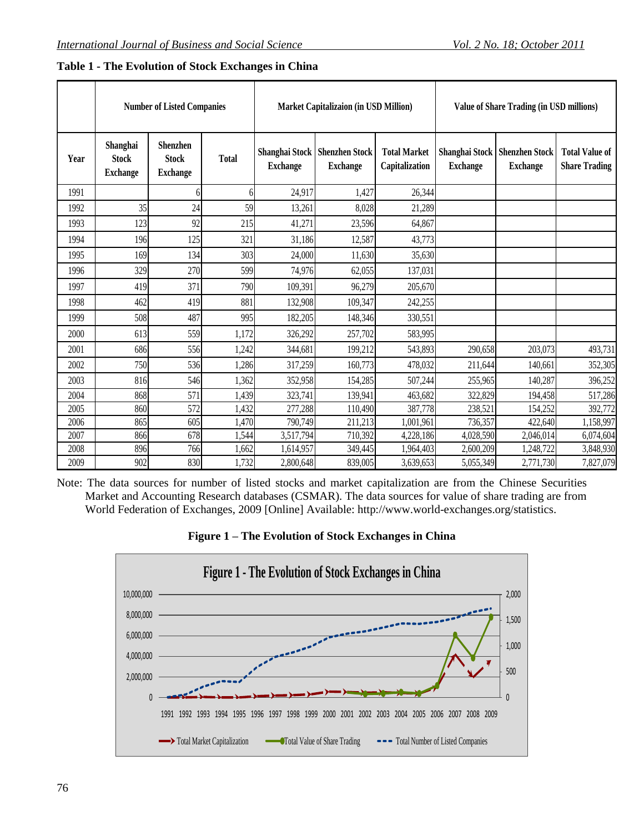|      | <b>Number of Listed Companies</b>           |                                                    |              | Market Capitalizaion (in USD Million) |                                                    |                                       | <b>Value of Share Trading (in USD millions)</b> |                                          |                                               |
|------|---------------------------------------------|----------------------------------------------------|--------------|---------------------------------------|----------------------------------------------------|---------------------------------------|-------------------------------------------------|------------------------------------------|-----------------------------------------------|
| Year | Shanghai<br><b>Stock</b><br><b>Exchange</b> | <b>Shenzhen</b><br><b>Stock</b><br><b>Exchange</b> | <b>Total</b> | <b>Exchange</b>                       | Shanghai Stock   Shenzhen Stock<br><b>Exchange</b> | <b>Total Market</b><br>Capitalization | Shanghai Stock<br><b>Exchange</b>               | <b>Shenzhen Stock</b><br><b>Exchange</b> | <b>Total Value of</b><br><b>Share Trading</b> |
| 1991 |                                             | h                                                  |              | 24,917                                | 1,427                                              | 26,344                                |                                                 |                                          |                                               |
| 1992 | 35                                          | 24                                                 | 59           | 13,261                                | 8,028                                              | 21,289                                |                                                 |                                          |                                               |
| 1993 | 123                                         | 92                                                 | 215          | 41,271                                | 23,596                                             | 64,867                                |                                                 |                                          |                                               |
| 1994 | 196                                         | 125                                                | 321          | 31,186                                | 12,587                                             | 43,773                                |                                                 |                                          |                                               |
| 1995 | 169                                         | 134                                                | 303          | 24,000                                | 11,630                                             | 35,630                                |                                                 |                                          |                                               |
| 1996 | 329                                         | 270                                                | 599          | 74,976                                | 62,055                                             | 137,031                               |                                                 |                                          |                                               |
| 1997 | 419                                         | 371                                                | 790          | 109,391                               | 96,279                                             | 205,670                               |                                                 |                                          |                                               |
| 1998 | 462                                         | 419                                                | 881          | 132,908                               | 109,347                                            | 242,255                               |                                                 |                                          |                                               |
| 1999 | 508                                         | 487                                                | 995          | 182,205                               | 148,346                                            | 330,551                               |                                                 |                                          |                                               |
| 2000 | 613                                         | 559                                                | 1,172        | 326,292                               | 257,702                                            | 583,995                               |                                                 |                                          |                                               |
| 2001 | 686                                         | 556                                                | 1,242        | 344,681                               | 199,212                                            | 543,893                               | 290,658                                         | 203,073                                  | 493,731                                       |
| 2002 | 750                                         | 536                                                | 1,286        | 317,259                               | 160,773                                            | 478,032                               | 211,644                                         | 140,661                                  | 352,305                                       |
| 2003 | 816                                         | 546                                                | 1,362        | 352,958                               | 154,285                                            | 507,244                               | 255,965                                         | 140,287                                  | 396,252                                       |
| 2004 | 868                                         | 571                                                | 1,439        | 323,741                               | 139,941                                            | 463,682                               | 322,829                                         | 194,458                                  | 517,286                                       |
| 2005 | 860                                         | 572                                                | 1,432        | 277,288                               | 110,490                                            | 387,778                               | 238,521                                         | 154,252                                  | 392,772                                       |
| 2006 | 865                                         | 605                                                | 1,470        | 790,749                               | 211,213                                            | 1,001,961                             | 736,357                                         | 422,640                                  | 1,158,997                                     |
| 2007 | 866                                         | 678                                                | 1,544        | 3,517,794                             | 710,392                                            | 4,228,186                             | 4,028,590                                       | 2,046,014                                | 6,074,604                                     |
| 2008 | 896                                         | 766                                                | 1,662        | 1,614,957                             | 349,445                                            | 1,964,403                             | 2,600,209                                       | 1,248,722                                | 3,848,930                                     |
| 2009 | 902                                         | 830                                                | 1,732        | 2,800,648                             | 839,005                                            | 3,639,653                             | 5,055,349                                       | 2,771,730                                | 7,827,079                                     |

## **Table 1 - The Evolution of Stock Exchanges in China**

Note: The data sources for number of listed stocks and market capitalization are from the Chinese Securities Market and Accounting Research databases (CSMAR). The data sources for value of share trading are from World Federation of Exchanges, 2009 [Online] Available: [http://www.world-exchanges.org/statistics.](http://www.world-exchanges.org/statistics)



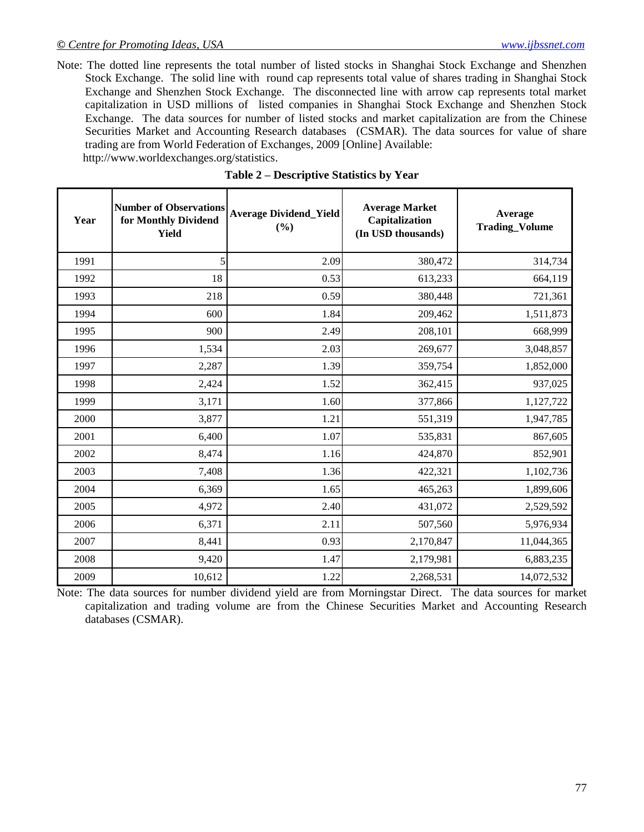Note: The dotted line represents the total number of listed stocks in Shanghai Stock Exchange and Shenzhen Stock Exchange. The solid line with round cap represents total value of shares trading in Shanghai Stock Exchange and Shenzhen Stock Exchange. The disconnected line with arrow cap represents total market capitalization in USD millions of listed companies in Shanghai Stock Exchange and Shenzhen Stock Exchange. The data sources for number of listed stocks and market capitalization are from the Chinese Securities Market and Accounting Research databases (CSMAR). The data sources for value of share trading are from World Federation of Exchanges, 2009 [Online] Available: [http://www.worldexchanges.org/statistics.](http://www.worldexchanges.org/statistics)

| Year | <b>Number of Observations</b><br>for Monthly Dividend<br><b>Yield</b> | <b>Average Dividend_Yield</b><br>(%) | <b>Average Market</b><br>Capitalization<br>(In USD thousands) | Average<br><b>Trading_Volume</b> |
|------|-----------------------------------------------------------------------|--------------------------------------|---------------------------------------------------------------|----------------------------------|
| 1991 | 5                                                                     | 2.09                                 | 380,472                                                       | 314,734                          |
| 1992 | 18                                                                    | 0.53                                 | 613,233                                                       | 664,119                          |
| 1993 | 218                                                                   | 0.59                                 | 380,448                                                       | 721,361                          |
| 1994 | 600                                                                   | 1.84                                 | 209,462                                                       | 1,511,873                        |
| 1995 | 900                                                                   | 2.49                                 | 208,101                                                       | 668,999                          |
| 1996 | 1,534                                                                 | 2.03                                 | 269,677                                                       | 3,048,857                        |
| 1997 | 2,287                                                                 | 1.39                                 | 359,754                                                       | 1,852,000                        |
| 1998 | 2,424                                                                 | 1.52                                 | 362,415                                                       | 937,025                          |
| 1999 | 3,171                                                                 | 1.60                                 | 377,866                                                       | 1,127,722                        |
| 2000 | 3,877                                                                 | 1.21                                 | 551,319                                                       | 1,947,785                        |
| 2001 | 6,400                                                                 | 1.07                                 | 535,831                                                       | 867,605                          |
| 2002 | 8,474                                                                 | 1.16                                 | 424,870                                                       | 852,901                          |
| 2003 | 7,408                                                                 | 1.36                                 | 422,321                                                       | 1,102,736                        |
| 2004 | 6,369                                                                 | 1.65                                 | 465,263                                                       | 1,899,606                        |
| 2005 | 4,972                                                                 | 2.40                                 | 431,072                                                       | 2,529,592                        |
| 2006 | 6,371                                                                 | 2.11                                 | 507,560                                                       | 5,976,934                        |
| 2007 | 8,441                                                                 | 0.93                                 | 2,170,847                                                     | 11,044,365                       |
| 2008 | 9,420                                                                 | 1.47                                 | 2,179,981                                                     | 6,883,235                        |
| 2009 | 10,612                                                                | 1.22                                 | 2,268,531                                                     | 14,072,532                       |

| Table 2 – Descriptive Statistics by Year |  |
|------------------------------------------|--|
|------------------------------------------|--|

Note: The data sources for number dividend yield are from Morningstar Direct. The data sources for market capitalization and trading volume are from the Chinese Securities Market and Accounting Research databases (CSMAR).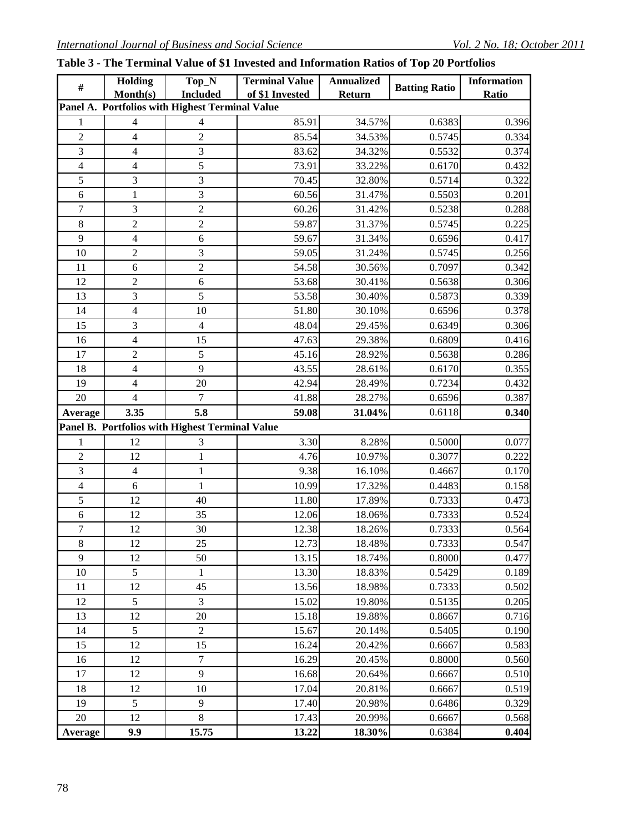|  |  |  | Table 3 - The Terminal Value of \$1 Invested and Information Ratios of Top 20 Portfolios |  |  |  |  |  |  |
|--|--|--|------------------------------------------------------------------------------------------|--|--|--|--|--|--|
|--|--|--|------------------------------------------------------------------------------------------|--|--|--|--|--|--|

| $\#$                                            | <b>Holding</b> | Top_N                                           | <b>Terminal Value</b> | <b>Annualized</b> | <b>Batting Ratio</b> | <b>Information</b> |  |  |  |
|-------------------------------------------------|----------------|-------------------------------------------------|-----------------------|-------------------|----------------------|--------------------|--|--|--|
|                                                 | Month(s)       | <b>Included</b>                                 | of \$1 Invested       | Return            |                      | Ratio              |  |  |  |
| Panel A. Portfolios with Highest Terminal Value |                |                                                 |                       |                   |                      |                    |  |  |  |
| 1                                               | 4              | $\overline{4}$                                  | 85.91                 | 34.57%            | 0.6383               | 0.396              |  |  |  |
| $\overline{c}$                                  | $\overline{4}$ | $\overline{c}$                                  | 85.54                 | 34.53%            | 0.5745               | 0.334              |  |  |  |
| $\overline{\mathbf{3}}$                         | $\overline{4}$ | 3                                               | 83.62                 | 34.32%            | 0.5532               | 0.374              |  |  |  |
| $\overline{4}$                                  | $\overline{4}$ | 5                                               | 73.91                 | 33.22%            | 0.6170               | 0.432              |  |  |  |
| 5                                               | 3              | 3                                               | 70.45                 | 32.80%            | 0.5714               | 0.322              |  |  |  |
| 6                                               | $\mathbf{1}$   | $\mathfrak{Z}$                                  | 60.56                 | 31.47%            | 0.5503               | 0.201              |  |  |  |
| 7                                               | 3              | $\overline{2}$                                  | 60.26                 | 31.42%            | 0.5238               | 0.288              |  |  |  |
| 8                                               | $\overline{2}$ | $\overline{2}$                                  | 59.87                 | 31.37%            | 0.5745               | 0.225              |  |  |  |
| 9                                               | $\overline{4}$ | 6                                               | 59.67                 | 31.34%            | 0.6596               | 0.417              |  |  |  |
| 10                                              | $\overline{c}$ | 3                                               | 59.05                 | 31.24%            | 0.5745               | 0.256              |  |  |  |
| 11                                              | 6              | $\overline{2}$                                  | 54.58                 | 30.56%            | 0.7097               | 0.342              |  |  |  |
| 12                                              | $\overline{2}$ | $\sqrt{6}$                                      | 53.68                 | 30.41%            | 0.5638               | 0.306              |  |  |  |
| 13                                              | 3              | 5                                               | 53.58                 | 30.40%            | 0.5873               | 0.339              |  |  |  |
| 14                                              | $\overline{4}$ | 10                                              | 51.80                 | 30.10%            | 0.6596               | 0.378              |  |  |  |
| 15                                              | 3              | $\overline{4}$                                  | 48.04                 | 29.45%            | 0.6349               | 0.306              |  |  |  |
| 16                                              | $\overline{4}$ | 15                                              | 47.63                 | 29.38%            | 0.6809               | 0.416              |  |  |  |
| 17                                              | $\overline{2}$ | 5                                               | 45.16                 | 28.92%            | 0.5638               | 0.286              |  |  |  |
| 18                                              | $\overline{4}$ | 9                                               | 43.55                 | 28.61%            | 0.6170               | 0.355              |  |  |  |
| 19                                              | $\overline{4}$ | 20                                              | 42.94                 | 28.49%            | 0.7234               | 0.432              |  |  |  |
| 20                                              | $\overline{4}$ | $\overline{7}$                                  | 41.88                 | 28.27%            | 0.6596               | 0.387              |  |  |  |
| Average                                         | 3.35           | 5.8                                             | 59.08                 | 31.04%            | 0.6118               | 0.340              |  |  |  |
|                                                 |                | Panel B. Portfolios with Highest Terminal Value |                       |                   |                      |                    |  |  |  |
| 1                                               | 12             | 3                                               | 3.30                  | 8.28%             | 0.5000               | 0.077              |  |  |  |
| $\overline{c}$                                  | 12             | $\mathbf{1}$                                    | 4.76                  | 10.97%            | 0.3077               | 0.222              |  |  |  |
| $\overline{3}$                                  | $\overline{4}$ | $\mathbf{1}$                                    | 9.38                  | 16.10%            | 0.4667               | 0.170              |  |  |  |
| 4                                               | 6              | $\mathbf{1}$                                    | 10.99                 | 17.32%            | 0.4483               | 0.158              |  |  |  |
| 5                                               | 12             | 40                                              | 11.80                 | 17.89%            | 0.7333               | 0.473              |  |  |  |
| 6                                               | 12             | 35                                              | 12.06                 | 18.06%            | 0.7333               | 0.524              |  |  |  |
| $\boldsymbol{7}$                                | 12             | 30                                              | 12.38                 | 18.26%            | 0.7333               | 0.564              |  |  |  |
| 8                                               | 12             | 25                                              | 12.73                 | 18.48%            | 0.7333               | 0.547              |  |  |  |
| 9                                               | 12             | 50                                              | 13.15                 | 18.74%            | 0.8000               | 0.477              |  |  |  |
| 10                                              | 5              | $\mathbf{1}$                                    | 13.30                 | 18.83%            | 0.5429               | 0.189              |  |  |  |
| 11                                              | 12             | 45                                              | 13.56                 | 18.98%            | 0.7333               | 0.502              |  |  |  |
| 12                                              | 5              | 3                                               | 15.02                 | 19.80%            | 0.5135               | 0.205              |  |  |  |
| 13                                              | 12             | 20                                              | 15.18                 | 19.88%            | 0.8667               | 0.716              |  |  |  |
| 14                                              | 5              | $\overline{2}$                                  | 15.67                 | 20.14%            | 0.5405               | 0.190              |  |  |  |
| 15                                              | 12             | 15                                              | 16.24                 | 20.42%            | 0.6667               | 0.583              |  |  |  |
| 16                                              | 12             | $\tau$                                          | 16.29                 | 20.45%            | 0.8000               | 0.560              |  |  |  |
| 17                                              | 12             | 9                                               | 16.68                 | 20.64%            | 0.6667               | 0.510              |  |  |  |
| 18                                              | 12             | 10                                              | 17.04                 | 20.81%            | 0.6667               | 0.519              |  |  |  |
| 19                                              | 5              | $\overline{9}$                                  | 17.40                 | 20.98%            | 0.6486               | 0.329              |  |  |  |
| 20                                              | 12             | $\,8\,$                                         | 17.43                 | 20.99%            | 0.6667               | 0.568              |  |  |  |
| Average                                         | 9.9            | 15.75                                           | 13.22                 | 18.30%            | 0.6384               | 0.404              |  |  |  |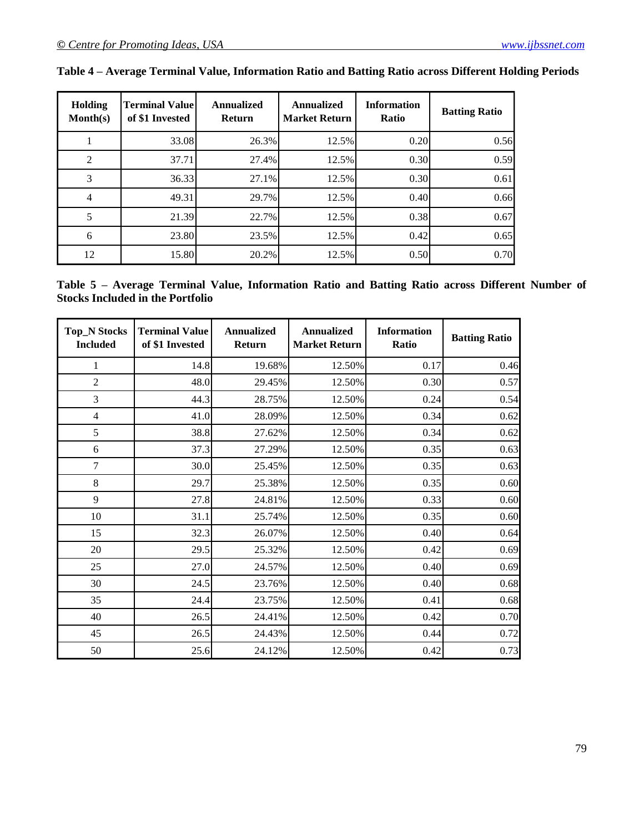| Holding<br>Month(s) | <b>Terminal Value</b><br>of \$1 Invested | <b>Annualized</b><br><b>Return</b> | Annualized<br><b>Market Return</b> | <b>Information</b><br>Ratio | <b>Batting Ratio</b> |
|---------------------|------------------------------------------|------------------------------------|------------------------------------|-----------------------------|----------------------|
|                     | 33.08                                    | 26.3%                              | 12.5%                              | 0.20                        | 0.56                 |
| 2                   | 37.71                                    | 27.4%                              | 12.5%                              | 0.30                        | 0.59                 |
| 3                   | 36.33                                    | 27.1%                              | 12.5%                              | 0.30                        | 0.61                 |
| 4                   | 49.31                                    | 29.7%                              | 12.5%                              | 0.40                        | 0.66                 |
|                     | 21.39                                    | 22.7%                              | 12.5%                              | 0.38                        | 0.67                 |
| 6                   | 23.80                                    | 23.5%                              | 12.5%                              | 0.42                        | 0.65                 |
| 12                  | 15.80                                    | 20.2%                              | 12.5%                              | 0.50                        | 0.70                 |

|  |  |  |  | Table 4 – Average Terminal Value, Information Ratio and Batting Ratio across Different Holding Periods |  |
|--|--|--|--|--------------------------------------------------------------------------------------------------------|--|
|  |  |  |  |                                                                                                        |  |
|  |  |  |  |                                                                                                        |  |

**Table 5 – Average Terminal Value, Information Ratio and Batting Ratio across Different Number of Stocks Included in the Portfolio**

| <b>Top_N Stocks</b><br><b>Included</b> | <b>Terminal Value</b><br>of \$1 Invested | <b>Annualized</b><br><b>Return</b> | <b>Annualized</b><br><b>Market Return</b> | <b>Information</b><br>Ratio | <b>Batting Ratio</b> |
|----------------------------------------|------------------------------------------|------------------------------------|-------------------------------------------|-----------------------------|----------------------|
| 1                                      | 14.8                                     | 19.68%                             | 12.50%                                    | 0.17                        | 0.46                 |
| $\overline{2}$                         | 48.0                                     | 29.45%                             | 12.50%                                    | 0.30                        | 0.57                 |
| 3                                      | 44.3                                     | 28.75%                             | 12.50%                                    | 0.24                        | 0.54                 |
| $\overline{4}$                         | 41.0                                     | 28.09%                             | 12.50%                                    | 0.34                        | 0.62                 |
| 5                                      | 38.8                                     | 27.62%                             | 12.50%                                    | 0.34                        | 0.62                 |
| 6                                      | 37.3                                     | 27.29%                             | 12.50%                                    | 0.35                        | 0.63                 |
| $\tau$                                 | 30.0                                     | 25.45%                             | 12.50%                                    | 0.35                        | 0.63                 |
| 8                                      | 29.7                                     | 25.38%                             | 12.50%                                    | 0.35                        | 0.60                 |
| 9                                      | 27.8                                     | 24.81%                             | 12.50%                                    | 0.33                        | 0.60                 |
| 10                                     | 31.1                                     | 25.74%                             | 12.50%                                    | 0.35                        | 0.60                 |
| 15                                     | 32.3                                     | 26.07%                             | 12.50%                                    | 0.40                        | 0.64                 |
| 20                                     | 29.5                                     | 25.32%                             | 12.50%                                    | 0.42                        | 0.69                 |
| 25                                     | 27.0                                     | 24.57%                             | 12.50%                                    | 0.40                        | 0.69                 |
| 30                                     | 24.5                                     | 23.76%                             | 12.50%                                    | 0.40                        | 0.68                 |
| 35                                     | 24.4                                     | 23.75%                             | 12.50%                                    | 0.41                        | 0.68                 |
| 40                                     | 26.5                                     | 24.41%                             | 12.50%                                    | 0.42                        | 0.70                 |
| 45                                     | 26.5                                     | 24.43%                             | 12.50%                                    | 0.44                        | 0.72                 |
| 50                                     | 25.6                                     | 24.12%                             | 12.50%                                    | 0.42                        | 0.73                 |